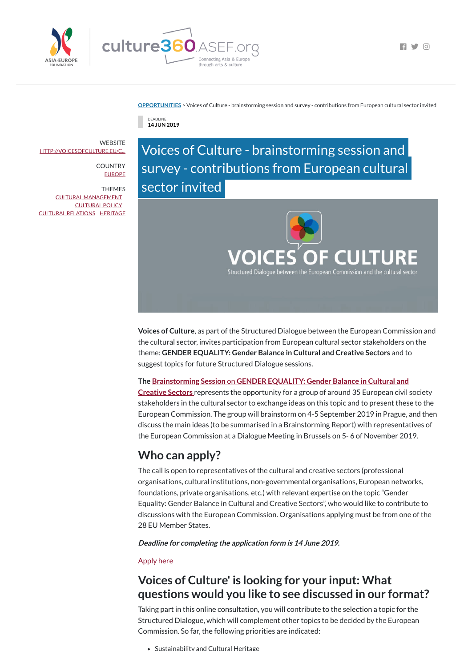



 $\blacksquare$ 

**[OPPORTUNITIES](https://culture360.asef.org/opportunities/)** > Voices of Culture - brainstorming session and survey - contributions from European cultural sector invited

DEADLINE **14 JUN 2019**

Voices of Culture - brainstorming session and survey - contributions from European cultural sector invited



**Voices of Culture**, as part of the Structured Dialogue between the European Commission and the cultural sector, invites participation from European cultural sector stakeholders on the theme: **GENDER EQUALITY: Gender Balance in Cultural and Creative Sectors** and to suggest topics for future Structured Dialogue sessions.

## **The [Brainstorming](http://voicesofculture.eu/2019/05/20/call-for-applications-for-the-topic-gender-equality-gender-balance-in-cultural-and-creative-sectors/) Session** on **GENDER EQUALITY: Gender Balance in Cultural and**

**Creative Sectors** represents the opportunity for a group of around 35 European civil society stakeholders in the cultural sector to exchange ideas on this topic and to present these to the European Commission. The group will brainstorm on 4-5 September 2019 in Prague, and then discuss the main ideas (to be summarised in a Brainstorming Report) with representatives of the European Commission at a Dialogue Meeting in Brussels on 5- 6 of November 2019.

**WEBSITE** [HTTP://VOICESOFCULTURE.EU/C...](http://voicesofculture.eu/call-for-applicants/)

> **COUNTRY** [EUROPE](https://culture360.asef.org/countries/europe/)

# **Who can apply?**

The call is open to representatives of the cultural and creative sectors (professional organisations, cultural institutions, non-governmental organisations, European networks, foundations, private organisations, etc.) with relevant expertise on the topic "Gender Equality: Gender Balance in Cultural and Creative Sectors", who would like to contribute to discussions with the European Commission. Organisations applying must be from one of the 28 EU Member States.

**Deadline for completing the application form is 14 June 2019.**

### **[Apply](https://asp2.inquery.net/s.app?A=rMmaW1wi) here**

# **Voices of Culture' is looking for your input: What questions would you like to see discussed in our format?**

Taking part in this online consultation, you will contribute to the selection a topic for the Structured Dialogue, which will complement other topics to be decided by the European Commission. So far, the following priorities are indicated:

Sustainability and Cultural Heritage

THEMES CULTURAL [MANAGEMENT](https://culture360.asef.org/themes/cultural-management/) [CULTURAL](https://culture360.asef.org/themes/cultural-policy/) POLICY CULTURAL [RELATIONS](https://culture360.asef.org/themes/cultural-relations/) [HERITAGE](https://culture360.asef.org/themes/heritage/)